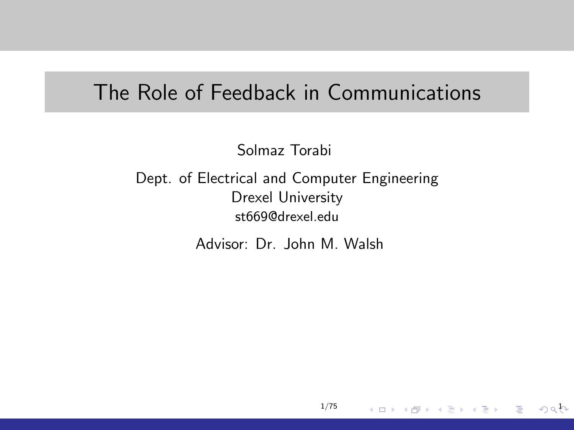### <span id="page-0-0"></span>The Role of Feedback in Communications

Solmaz Torabi

Dept. of Electrical and Computer Engineering Drexel University st669@drexel.edu

Advisor: Dr. John M. Walsh

1/75

 $0a b$ 

G.

メロメ メ都 メメ きょくきょう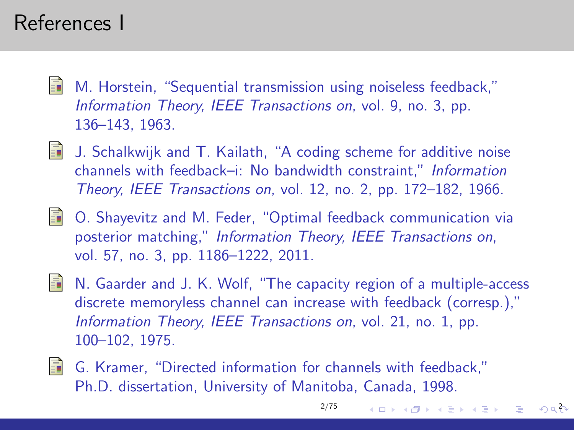## References I

- 暈 M. Horstein, "Sequential transmission using noiseless feedback," Information Theory, IEEE Transactions on, vol. 9, no. 3, pp. 136–143, 1963.
- **J.** Schalkwijk and T. Kailath, "A coding scheme for additive noise channels with feedback–i: No bandwidth constraint," Information Theory, IEEE Transactions on, vol. 12, no. 2, pp. 172–182, 1966.
- O. Shayevitz and M. Feder, "Optimal feedback communication via posterior matching," Information Theory, IEEE Transactions on, vol. 57, no. 3, pp. 1186–1222, 2011.
- In N. Gaarder and J. K. Wolf, "The capacity region of a multiple-access discrete memoryless channel can increase with feedback (corresp.)," Information Theory, IEEE Transactions on, vol. 21, no. 1, pp. 100–102, 1975.

[2/75](#page-0-0)

イロメ イ団メ イモメ イモメー

 $\eta$ an

G. Kramer, "Directed information for channels with feedback," Ph.D. dissertation, University of Manitoba, Canada, 1998.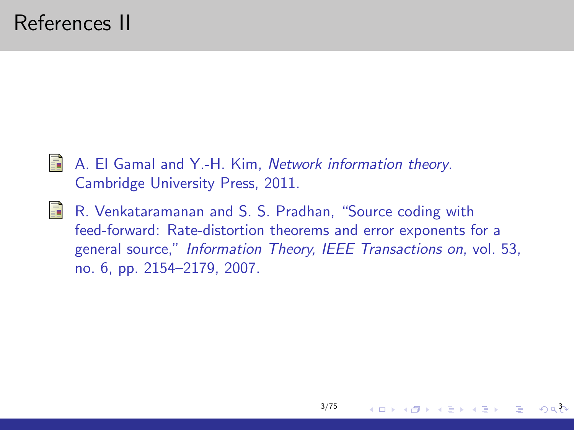- S.
- A. El Gamal and Y.-H. Kim, Network information theory. Cambridge University Press, 2011.
- E. R. Venkataramanan and S. S. Pradhan, "Source coding with feed-forward: Rate-distortion theorems and error exponents for a general source," Information Theory, IEEE Transactions on, vol. 53, no. 6, pp. 2154–2179, 2007.

[3/75](#page-0-0)

イロメ イ母メ イヨメ イヨメー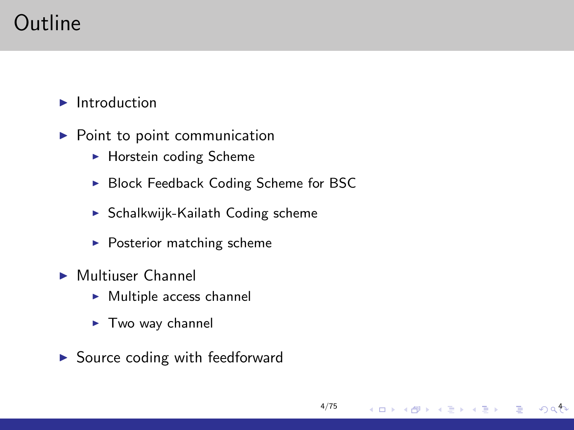# Outline

 $\blacktriangleright$  Introduction

- $\blacktriangleright$  Point to point communication
	- $\blacktriangleright$  Horstein coding Scheme
	- ▶ Block Feedback Coding Scheme for BSC

[4/75](#page-0-0)

メロメ メ御 メメ きょくきょう

 $49a$ 

э

- $\triangleright$  Schalkwijk-Kailath Coding scheme
- $\blacktriangleright$  Posterior matching scheme
- $\blacktriangleright$  Multiuser Channel
	- $\blacktriangleright$  Multiple access channel
	- $\blacktriangleright$  Two way channel
- $\triangleright$  Source coding with feedforward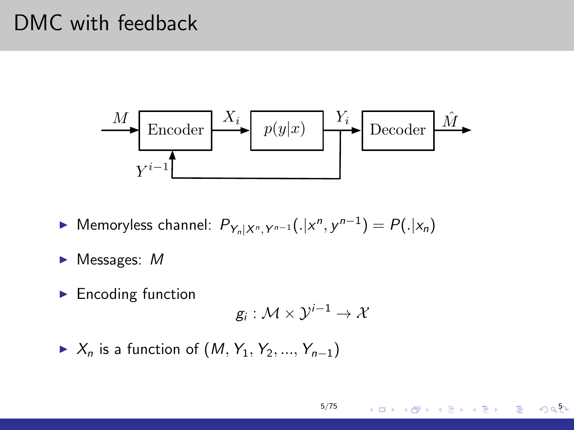# DMC with feedback



- ► Memoryless channel:  $P_{Y_n|X^n, Y^{n-1}}(.|x^n, y^{n-1}) = P(.|x_n)$
- $\blacktriangleright$  Messages: M
- $\blacktriangleright$  Encoding function

$$
g_i:\mathcal{M}\times\mathcal{Y}^{i-1}\to\mathcal{X}
$$

 $\triangleright$  X<sub>n</sub> is a function of  $(M, Y_1, Y_2, ..., Y_{n-1})$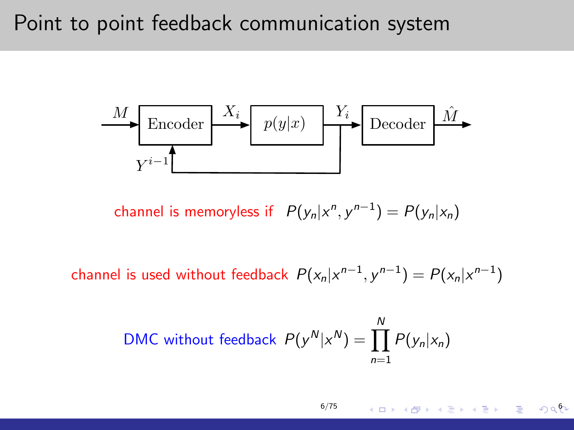#### Point to point feedback communication system

 Encoder p(y|x) Decoder X<sup>i</sup> Y<sup>i</sup> Y <sup>i</sup><sup>1</sup> M Mˆ

channel is memoryless if  $P(y_n|x^n, y^{n-1}) = P(y_n|x_n)$ 

channel is used without feedback  $P(x_n|x^{n-1}, y^{n-1}) = P(x_n|x^{n-1})$ 

DMC without feedback 
$$
P(y^N|x^N) = \prod_{n=1}^N P(y_n|x_n)
$$

[6/75](#page-0-0)

K ロ K K B K X B X X B X X B X X O Q Q Q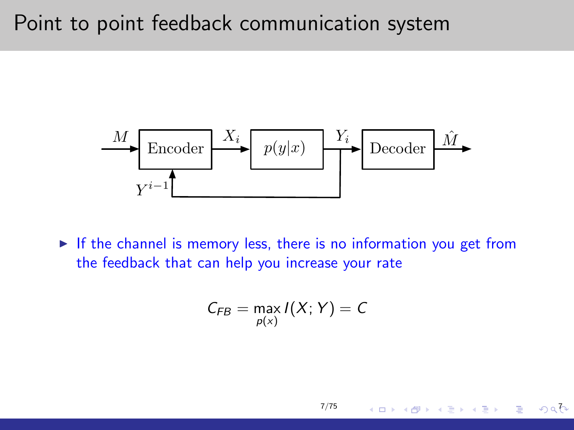### Point to point feedback communication system



 $\triangleright$  If the channel is memory less, there is no information you get from the feedback that can help you increase your rate

$$
C_{FB} = \max_{p(x)} I(X;Y) = C
$$

[7/75](#page-0-0)

イロメ イ何 メ イヨメ イヨメー

 $\circ$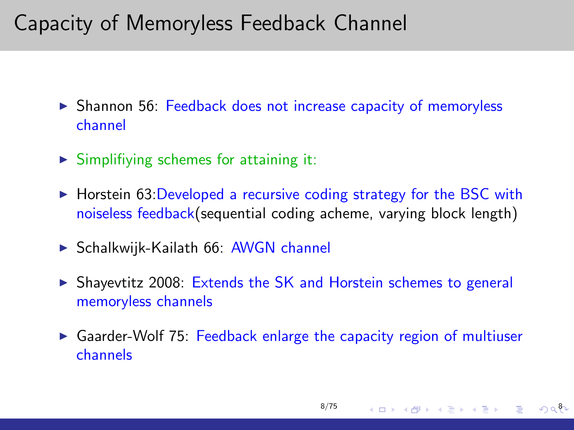## Capacity of Memoryless Feedback Channel

- $\triangleright$  Shannon 56: Feedback does not increase capacity of memoryless channel
- $\triangleright$  Simplifiying schemes for attaining it:
- $\triangleright$  Horstein 63: Developed a recursive coding strategy for the BSC with noiseless feedback(sequential coding acheme, varying block length)
- $\triangleright$  Schalkwijk-Kailath 66: AWGN channel
- $\triangleright$  Shayevtitz 2008: Extends the SK and Horstein schemes to general memoryless channels
- $\triangleright$  Gaarder-Wolf 75: Feedback enlarge the capacity region of multiuser channels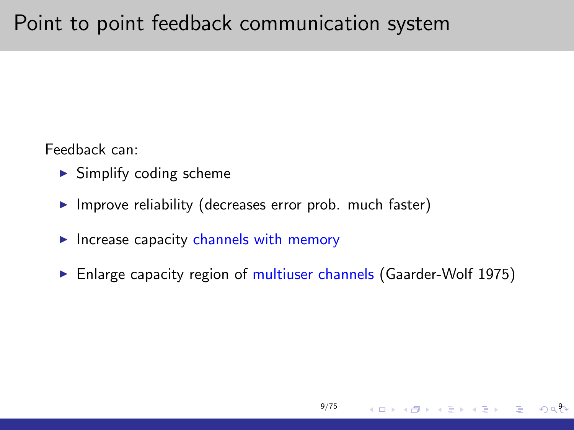# Point to point feedback communication system

Feedback can:

- $\blacktriangleright$  Simplify coding scheme
- $\blacktriangleright$  Improve reliability (decreases error prob. much faster)
- $\blacktriangleright$  Increase capacity channels with memory
- $\blacktriangleright$  Enlarge capacity region of multiuser channels (Gaarder-Wolf 1975)

[9/75](#page-0-0)

 $928$ 

 $\equiv$ 

イロメ イ部メ イ君メ イ君メー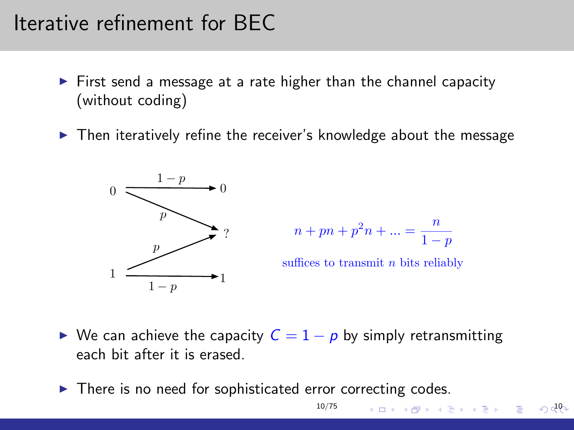## Iterative refinement for BEC

- $\triangleright$  First send a message at a rate higher than the channel capacity (without coding)
- $\triangleright$  Then iteratively refine the receiver's knowledge about the message





suffices to transmit  $n$  bits reliably

イロト イ部 トメ きょ メ きょう き

10

 $\triangleright$  We can achieve the capacity  $C = 1 - p$  by simply retransmitting each bit after it is erased.

[10/75](#page-0-0)

 $\triangleright$  There is no need for sophisticated error correcting codes.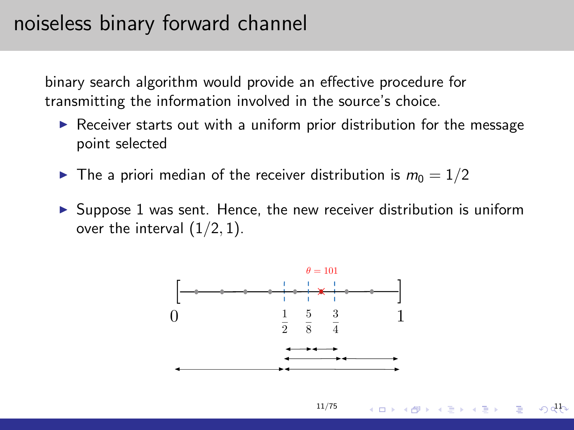### noiseless binary forward channel

binary search algorithm would provide an effective procedure for transmitting the information involved in the source's choice.

- $\triangleright$  Receiver starts out with a uniform prior distribution for the message point selected
- $\blacktriangleright$  The a priori median of the receiver distribution is  $m_0 = 1/2$
- $\triangleright$  Suppose 1 was sent. Hence, the new receiver distribution is uniform over the interval  $(1/2, 1)$ .



[11/75](#page-0-0)

イロメ イ何 メ イヨメ イヨメー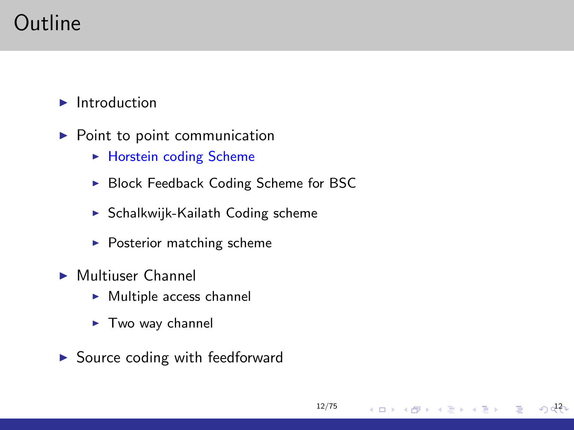# Outline

 $\blacktriangleright$  Introduction

- $\blacktriangleright$  Point to point communication
	- $\blacktriangleright$  Horstein coding Scheme
	- ▶ Block Feedback Coding Scheme for BSC

[12/75](#page-0-0)

メロメ メ御き メミメメミド

 $\sqrt{2}$ 

- $\triangleright$  Schalkwijk-Kailath Coding scheme
- $\blacktriangleright$  Posterior matching scheme
- $\blacktriangleright$  Multiuser Channel
	- $\blacktriangleright$  Multiple access channel
	- $\blacktriangleright$  Two way channel
- $\triangleright$  Source coding with feedforward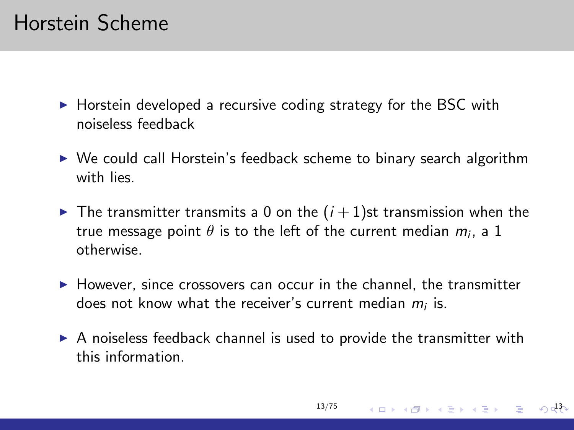- $\triangleright$  Horstein developed a recursive coding strategy for the BSC with noiseless feedback
- $\triangleright$  We could call Horstein's feedback scheme to binary search algorithm with lies.
- $\blacktriangleright$  The transmitter transmits a 0 on the  $(i + 1)$ st transmission when the true message point  $\theta$  is to the left of the current median  $m_i$ , a  $1$ otherwise.
- $\blacktriangleright$  However, since crossovers can occur in the channel, the transmitter does not know what the receiver's current median  $m_i$  is.
- $\triangleright$  A noiseless feedback channel is used to provide the transmitter with this information.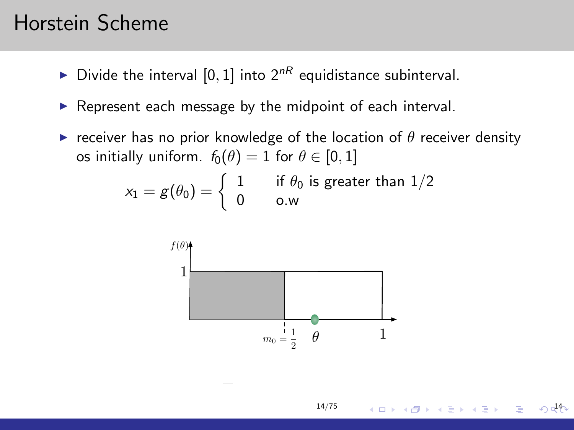- Divide the interval [0, 1] into  $2^{nR}$  equidistance subinterval.
- $\triangleright$  Represent each message by the midpoint of each interval.
- **F** receiver has no prior knowledge of the location of  $\theta$  receiver density os initially uniform.  $f_0(\theta) = 1$  for  $\theta \in [0, 1]$

$$
x_1 = g(\theta_0) = \left\{ \begin{array}{ll} 1 & \text{if } \theta_0 \text{ is greater than } 1/2 \\ 0 & \text{o.w} \end{array} \right.
$$



メロメ メ御き メミメメミド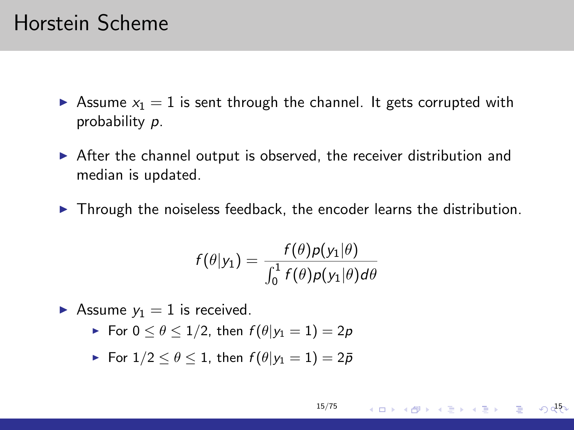- Assume  $x_1 = 1$  is sent through the channel. It gets corrupted with probability p.
- $\triangleright$  After the channel output is observed, the receiver distribution and median is updated.
- $\blacktriangleright$  Through the noiseless feedback, the encoder learns the distribution.

$$
f(\theta|y_1)=\frac{f(\theta)p(y_1|\theta)}{\int_0^1 f(\theta)p(y_1|\theta)d\theta}
$$

Assume  $y_1 = 1$  is received.

- For  $0 \leq \theta \leq 1/2$ , then  $f(\theta | y_1 = 1) = 2p$
- For  $1/2 \leq \theta \leq 1$ , then  $f(\theta|y_1=1)=2\bar{p}$

$$
15/75 \longrightarrow \Box \rightarrow \Box \rightarrow \Box \Box \rightarrow \Box \equiv \bot \rightarrow \Box \equiv \Box \rightarrow \Box \Box \Box \Box
$$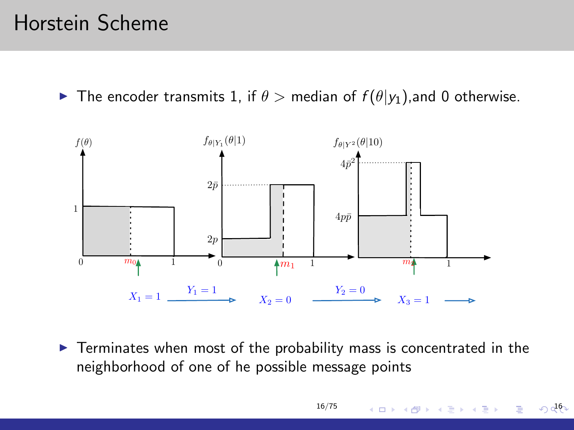**IF The encoder transmits 1, if**  $\theta >$  **median of**  $f(\theta|y_1)$ **, and 0 otherwise.** 



 $\triangleright$  Terminates when most of the probability mass is concentrated in the neighborhood of one of he possible message points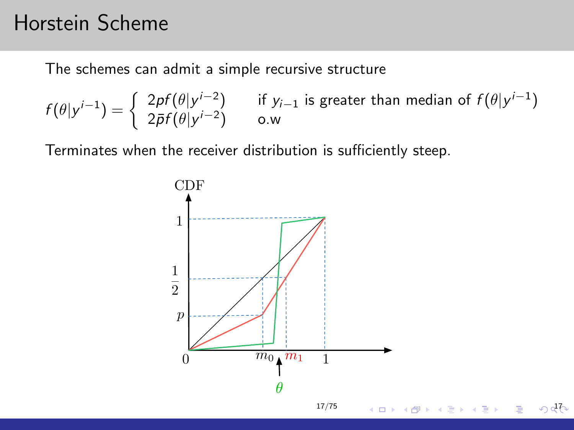The schemes can admit a simple recursive structure

$$
f(\theta|y^{i-1}) = \begin{cases} 2pf(\theta|y^{i-2}) & \text{if } y_{i-1} \text{ is greater than median of } f(\theta|y^{i-1})\\ 2\bar{p}f(\theta|y^{i-2}) & \text{o.w} \end{cases}
$$

Terminates when the receiver distribution is sufficiently steep.

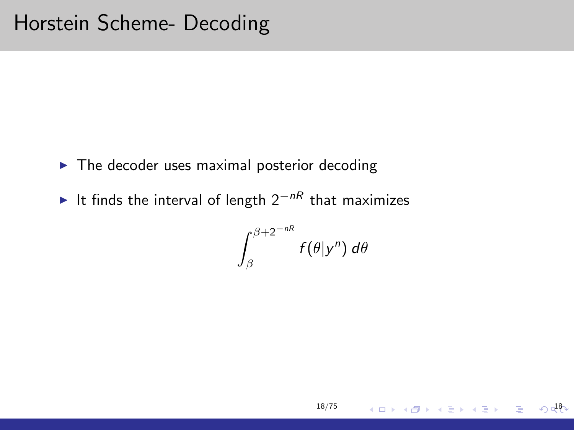- $\blacktriangleright$  The decoder uses maximal posterior decoding
- It finds the interval of length  $2^{-nR}$  that maximizes

$$
\int_{\beta}^{\beta+2^{-nR}}f(\theta|y^n)\,d\theta
$$

[18/75](#page-0-0)

 $\sqrt{28}$ 

イロメ イ団 メイモメ イモメー 毛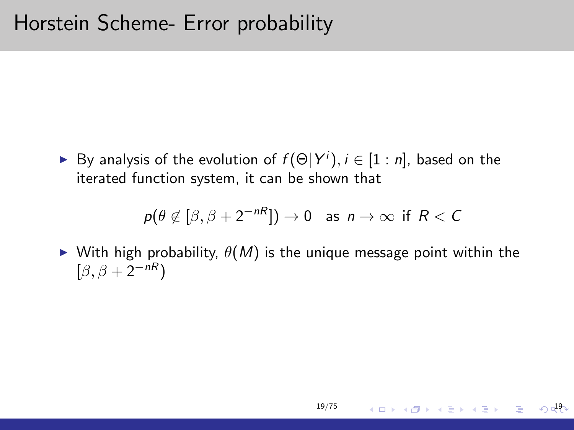► By analysis of the evolution of  $f(\Theta|Y^i)$ ,  $i \in [1:n]$ , based on the iterated function system, it can be shown that

$$
p(\theta \notin [\beta, \beta + 2^{-nR}]) \to 0
$$
 as  $n \to \infty$  if  $R < C$ 

 $\triangleright$  With high probability,  $\theta(M)$  is the unique message point within the  $[\beta, \beta + 2^{-nR}]$ 

イロン イ団ン イミン イモンジ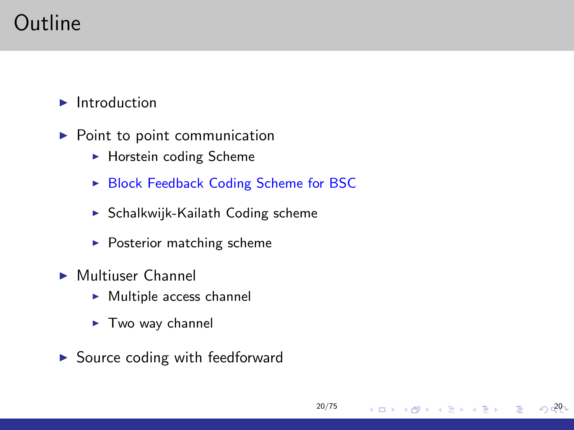# Outline

 $\blacktriangleright$  Introduction

- $\blacktriangleright$  Point to point communication
	- $\blacktriangleright$  Horstein coding Scheme
	- ▶ Block Feedback Coding Scheme for BSC

[20/75](#page-0-0)

イロン イ部ン イ君ン イ君ン

 $\sqrt{20}$ 

- $\triangleright$  Schalkwijk-Kailath Coding scheme
- $\blacktriangleright$  Posterior matching scheme
- $\blacktriangleright$  Multiuser Channel
	- $\blacktriangleright$  Multiple access channel
	- $\blacktriangleright$  Two way channel
- $\triangleright$  Source coding with feedforward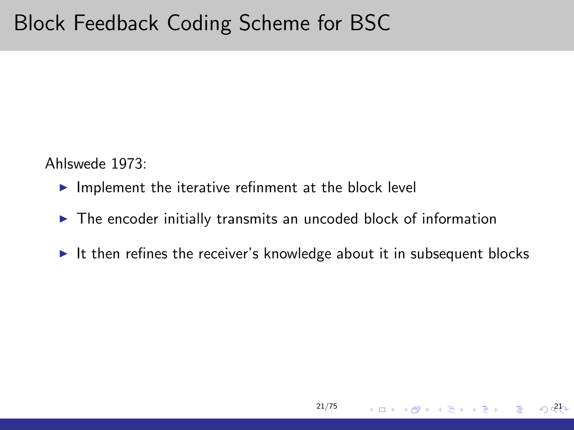Ahlswede 1973:

- $\blacktriangleright$  Implement the iterative refinment at the block level
- $\triangleright$  The encoder initially transmits an uncoded block of information
- It then refines the receiver's knowledge about it in subsequent blocks

[21/75](#page-0-0)

 $\left\{ \begin{array}{ccc} \square & \times & \overline{\square} & \times \end{array} \right.$   $\left\{ \begin{array}{ccc} \square & \times & \times & \overline{\square} & \times \end{array} \right.$ 

21

 $\equiv$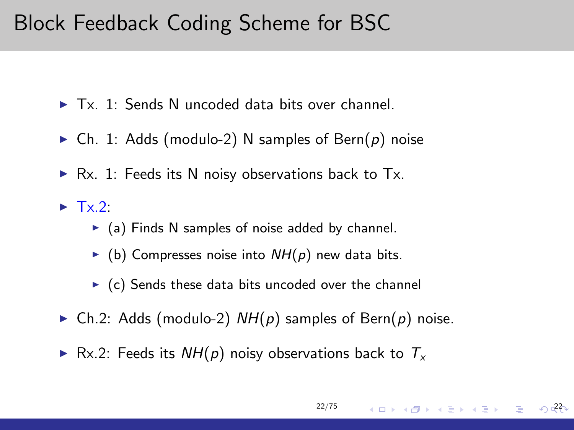### Block Feedback Coding Scheme for BSC

- $\blacktriangleright$  Tx. 1: Sends N uncoded data bits over channel.
- Ch. 1: Adds (modulo-2) N samples of Bern(p) noise
- $\triangleright$  Rx. 1: Feeds its N noisy observations back to Tx.
- $\blacktriangleright$  Tx.2:
	- $\triangleright$  (a) Finds N samples of noise added by channel.
	- $\triangleright$  (b) Compresses noise into  $NH(p)$  new data bits.
	- $\triangleright$  (c) Sends these data bits uncoded over the channel
- Ch.2: Adds (modulo-2)  $NH(p)$  samples of Bern(p) noise.
- Rx.2: Feeds its  $NH(p)$  noisy observations back to  $T_x$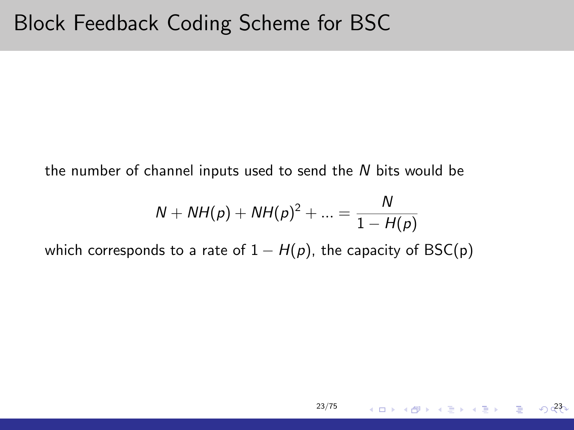the number of channel inputs used to send the N bits would be

$$
N + NH(p) + NH(p)^{2} + ... = \frac{N}{1 - H(p)}
$$

[23/75](#page-0-0)

23

メロメ メタメ メミメ メミメン 毛

which corresponds to a rate of  $1 - H(p)$ , the capacity of BSC(p)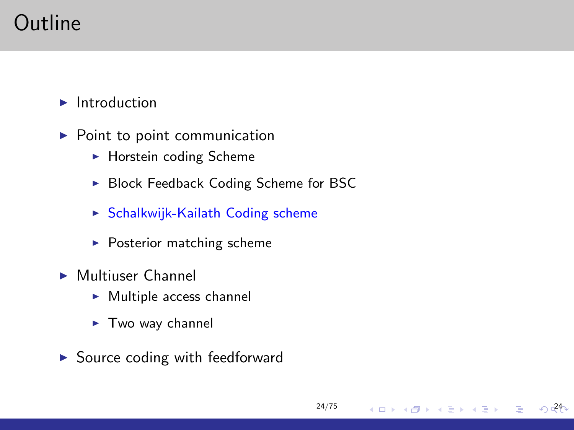# Outline

 $\blacktriangleright$  Introduction

- $\blacktriangleright$  Point to point communication
	- $\blacktriangleright$  Horstein coding Scheme
	- ▶ Block Feedback Coding Scheme for BSC

[24/75](#page-0-0)

メロメ メ御き メミメメミド

 $\sqrt{24}$ 

- $\triangleright$  Schalkwijk-Kailath Coding scheme
- $\blacktriangleright$  Posterior matching scheme
- $\blacktriangleright$  Multiuser Channel
	- $\blacktriangleright$  Multiple access channel
	- $\blacktriangleright$  Two way channel
- $\triangleright$  Source coding with feedforward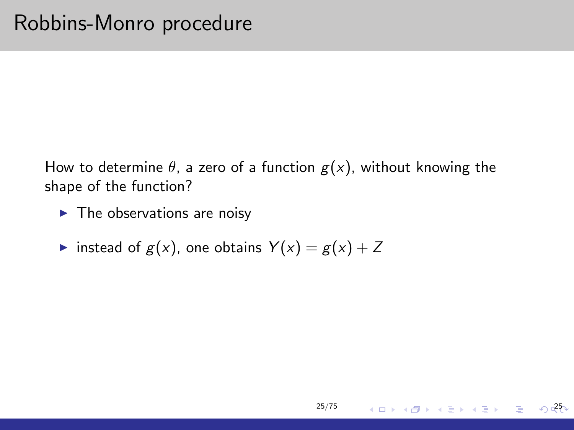How to determine  $\theta$ , a zero of a function  $g(x)$ , without knowing the shape of the function?

[25/75](#page-0-0)

メロメ メタメ メミメ メミメー

25

 $\equiv$ 

- $\blacktriangleright$  The observations are noisy
- instead of  $g(x)$ , one obtains  $Y(x) = g(x) + Z$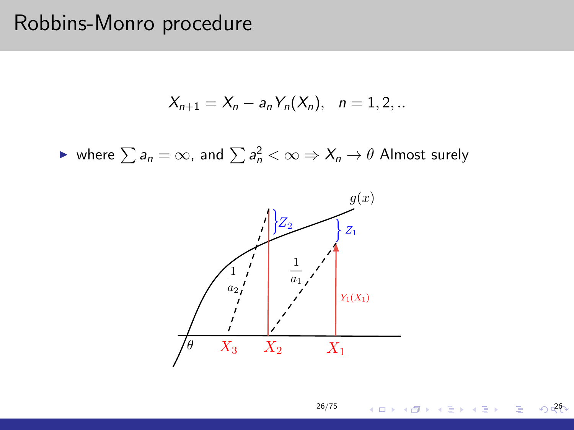#### Robbins-Monro procedure

$$
X_{n+1} = X_n - a_n Y_n(X_n), \quad n = 1, 2, ...
$$

► where  $\sum a_n = \infty$ , and  $\sum a_n^2 < \infty \Rightarrow X_n \to \theta$  Almost surely



[26/75](#page-0-0)

メロメメ 御き メ 君 メメ 君 メー

 $\sqrt{26}$ 

Þ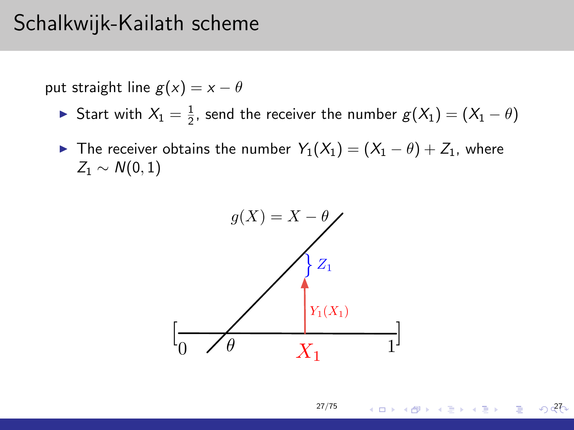### Schalkwijk-Kailath scheme

put straight line  $g(x) = x - \theta$ 

- ► Start with  $X_1 = \frac{1}{2}$ , send the receiver the number  $g(X_1) = (X_1 \theta)$
- ► The receiver obtains the number  $Y_1(X_1) = (X_1 \theta) + Z_1$ , where  $Z_1 \sim N(0, 1)$



 $O$ <sub>27</sub>

イロメ イ団 メイモメ イモメー 毛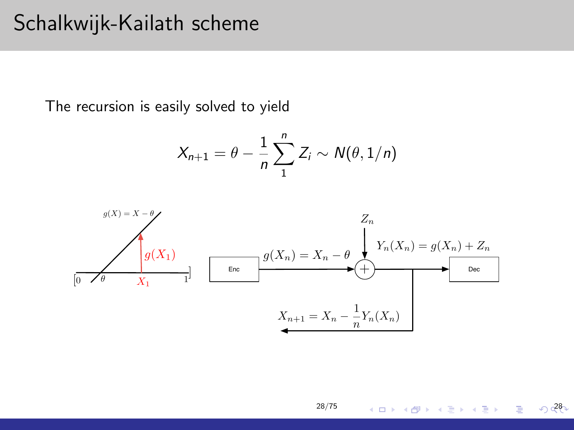#### Schalkwijk-Kailath scheme

The recursion is easily solved to yield

$$
X_{n+1} = \theta - \frac{1}{n} \sum_{1}^{n} Z_i \sim N(\theta, 1/n)
$$



 $\sqrt{28}$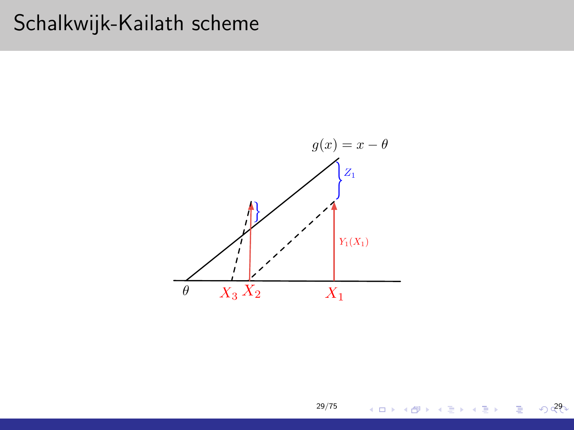## Schalkwijk-Kailath scheme



 $029$ 

重

メロメ メ団 メメ ミメ メ ミメー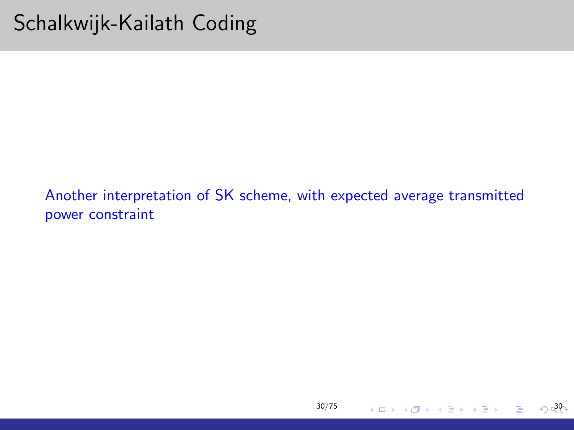Another interpretation of SK scheme, with expected average transmitted power constraint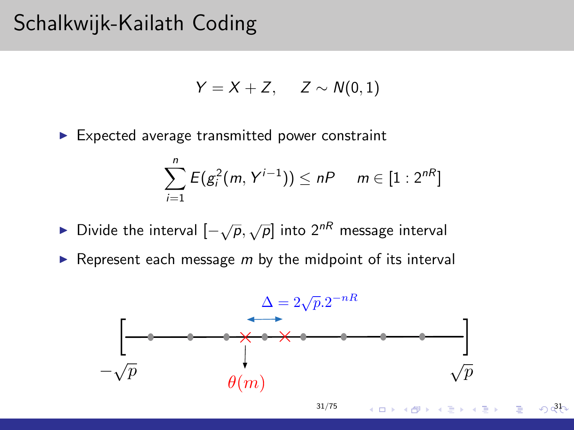### Schalkwijk-Kailath Coding

$$
Y=X+Z, \quad Z \sim N(0,1)
$$

 $\blacktriangleright$  Expected average transmitted power constraint

$$
\sum_{i=1}^n E(g_i^2(m, Y^{i-1})) \le nP \quad m \in [1:2^{nR}]
$$

- ► Divide the interval  $[-\sqrt{\rho}, \sqrt{\rho}]$  into  $2^{nR}$  message interval
- Represent each message  $m$  by the midpoint of its interval

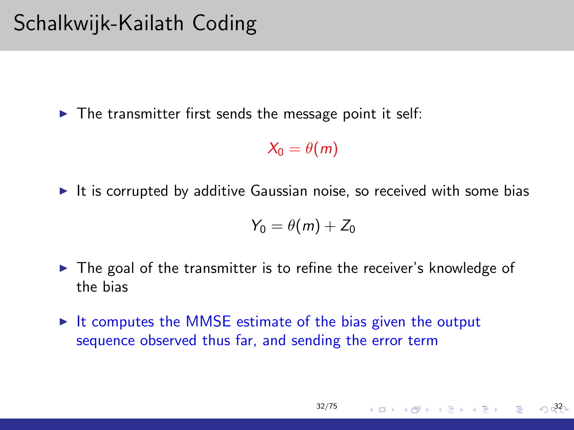$\triangleright$  The transmitter first sends the message point it self:

$$
\mathcal{X}_0 = \theta(m)
$$

It is corrupted by additive Gaussian noise, so received with some bias

$$
Y_0=\theta(m)+Z_0
$$

- $\triangleright$  The goal of the transmitter is to refine the receiver's knowledge of the bias
- $\triangleright$  It computes the MMSE estimate of the bias given the output sequence observed thus far, and sending the error term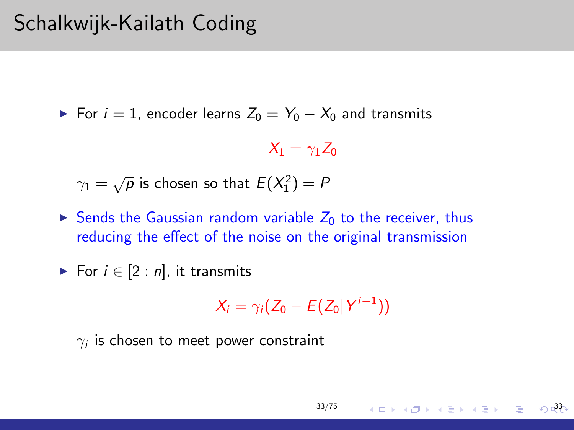## Schalkwijk-Kailath Coding

► For  $i = 1$ , encoder learns  $Z_0 = Y_0 - X_0$  and transmits

 $X_1 = \gamma_1 Z_0$ 

 $\gamma_1=\sqrt{\overline{\rho}}$  is chosen so that  $E(X_1^2)=P$ 

Sends the Gaussian random variable  $Z_0$  to the receiver, thus reducing the effect of the noise on the original transmission

$$
\blacktriangleright
$$
 For  $i \in [2:n]$ , it transmits

$$
X_i = \gamma_i (Z_0 - E(Z_0|Y^{i-1}))
$$

[33/75](#page-0-0)

33

イロメ イ団 メイヨメ イヨメ 一番

 $\gamma_i$  is chosen to meet power constraint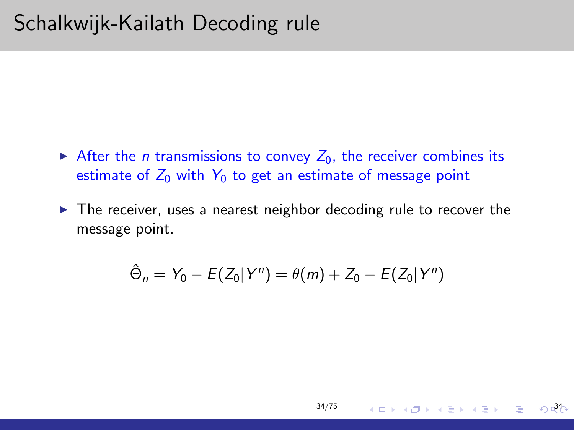## Schalkwijk-Kailath Decoding rule

- After the *n* transmissions to convey  $Z_0$ , the receiver combines its estimate of  $Z_0$  with  $Y_0$  to get an estimate of message point
- $\triangleright$  The receiver, uses a nearest neighbor decoding rule to recover the message point.

$$
\hat{\Theta}_n = Y_0 - E(Z_0|Y^n) = \theta(m) + Z_0 - E(Z_0|Y^n)
$$

メロメ メ都 メメ きょくきょう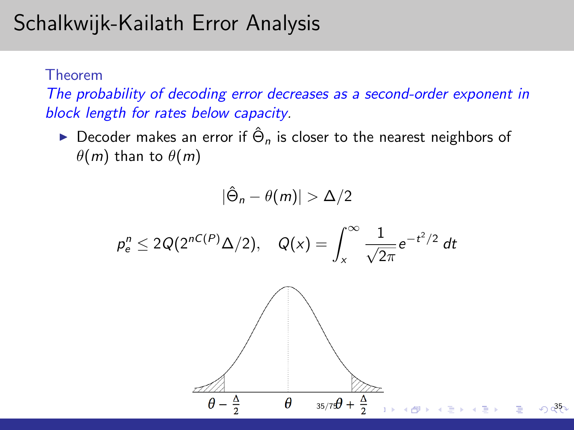# Schalkwijk-Kailath Error Analysis

Theorem

The probability of decoding error decreases as a second-order exponent in block length for rates below capacity.

► Decoder makes an error if  $\hat{\Theta}_n$  is closer to the nearest neighbors of  $\theta(m)$  than to  $\theta(m)$ 

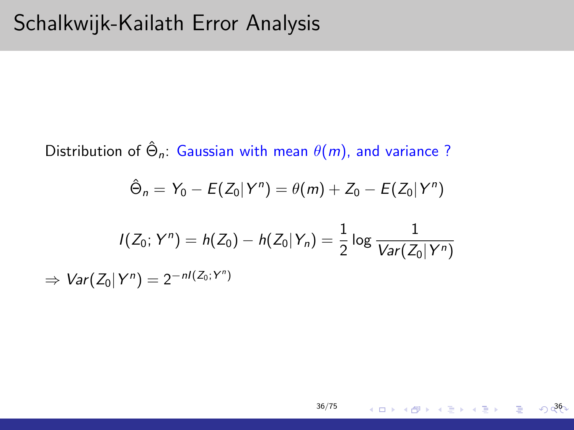Distribution of  $\hat{\Theta}_n$ : Gaussian with mean  $\theta(m)$ , and variance ?  $\hat{\Theta}_n = Y_0 - E(Z_0 | Y^n) = \theta(m) + Z_0 - E(Z_0 | Y^n)$  $I(Z_0;Y^n)=h(Z_0)-h(Z_0|Y_n)=\frac{1}{2}\log\frac{1}{Var(Z_0)}$  $Var(Z_0|Y^n)$  $\Rightarrow Var(Z_0|Y^n)=2^{-nI(Z_0;Y^n)}$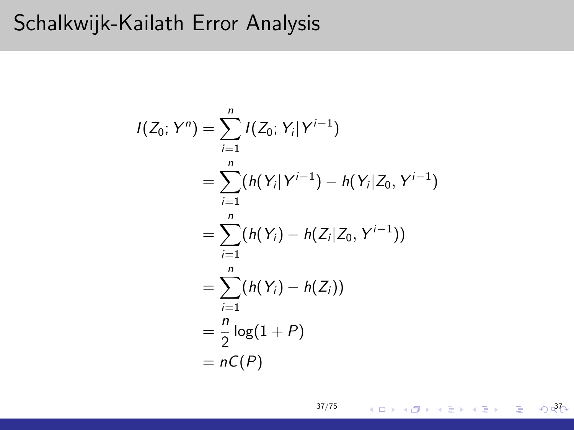## Schalkwijk-Kailath Error Analysis

$$
I(Z_0; Y^n) = \sum_{i=1}^n I(Z_0; Y_i | Y^{i-1})
$$
  
= 
$$
\sum_{i=1}^n (h(Y_i | Y^{i-1}) - h(Y_i | Z_0, Y^{i-1})
$$
  
= 
$$
\sum_{i=1}^n (h(Y_i) - h(Z_i | Z_0, Y^{i-1}))
$$
  
= 
$$
\sum_{i=1}^n (h(Y_i) - h(Z_i))
$$
  
= 
$$
\frac{n}{2} \log(1 + P)
$$
  
= 
$$
nC(P)
$$

 $027$ 

ă.

メロメ メタメ メミメ メミメー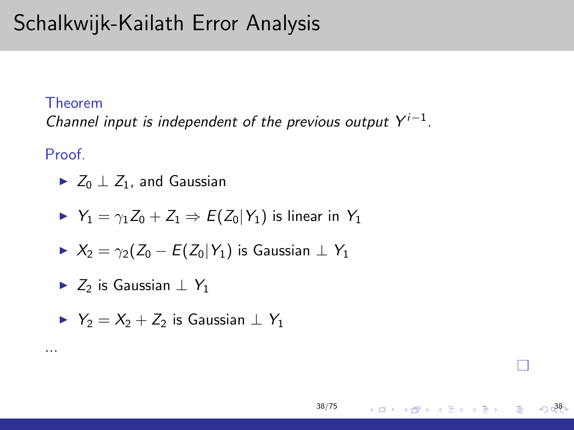# Schalkwijk-Kailath Error Analysis

#### Theorem

Channel input is independent of the previous output  $Y^{i-1}$ .

Proof.

...

 $\triangleright$   $Z_0 \perp Z_1$ , and Gaussian

$$
\blacktriangleright Y_1 = \gamma_1 Z_0 + Z_1 \Rightarrow E(Z_0|Y_1) \text{ is linear in } Y_1
$$

$$
\blacktriangleright \ X_2 = \gamma_2(Z_0 - E(Z_0|Y_1) \text{ is Gaussian } \perp Y_1
$$

►  $Z_2$  is Gaussian  $\perp Y_1$ 

$$
\blacktriangleright \ \ Y_2 = X_2 + Z_2 \text{ is Gaussian } \perp \ Y_1
$$

 $\sqrt{38}$ 

П

E

メロメ メ御 メメ きょく きょう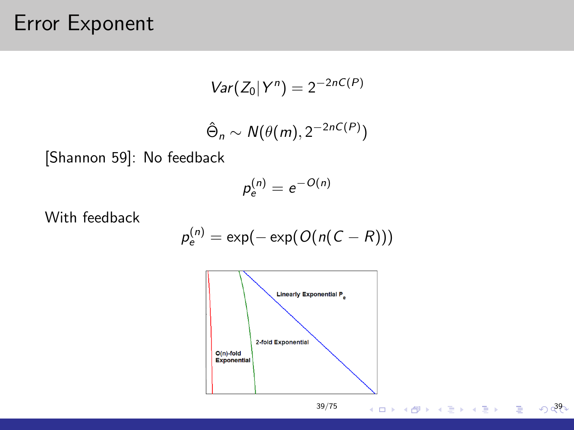## Error Exponent

$$
Var(Z_0|Y^n)=2^{-2nC(P)}
$$

$$
\hat{\Theta}_n \sim N(\theta(m), 2^{-2nC(P)})
$$

[Shannon 59]: No feedback

$$
p_e^{(n)}=e^{-O(n)}
$$

With feedback

$$
p_e^{(n)} = \exp(-\exp(O(n(C-R)))
$$



 $0.392$ 

重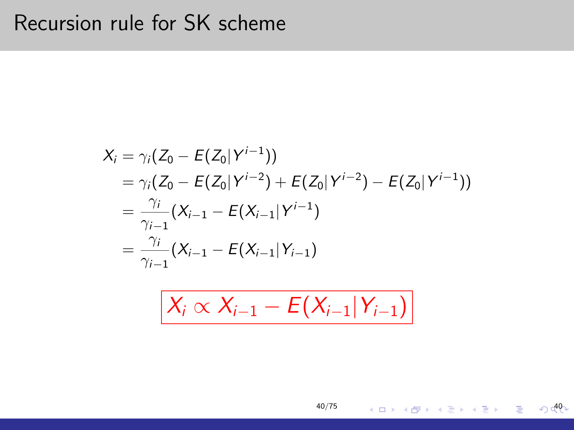## Recursion rule for SK scheme

$$
X_i = \gamma_i (Z_0 - E(Z_0|Y^{i-1}))
$$
  
=  $\gamma_i (Z_0 - E(Z_0|Y^{i-2}) + E(Z_0|Y^{i-2}) - E(Z_0|Y^{i-1}))$   
=  $\frac{\gamma_i}{\gamma_{i-1}} (X_{i-1} - E(X_{i-1}|Y^{i-1}))$   
=  $\frac{\gamma_i}{\gamma_{i-1}} (X_{i-1} - E(X_{i-1}|Y_{i-1}))$ 

$$
X_i \propto X_{i-1} - E(X_{i-1}|Y_{i-1})
$$

[40/75](#page-0-0)

 $\sqrt{40}$ 

メロトメ 御 トメ 君 トメ 君 トッ 君 し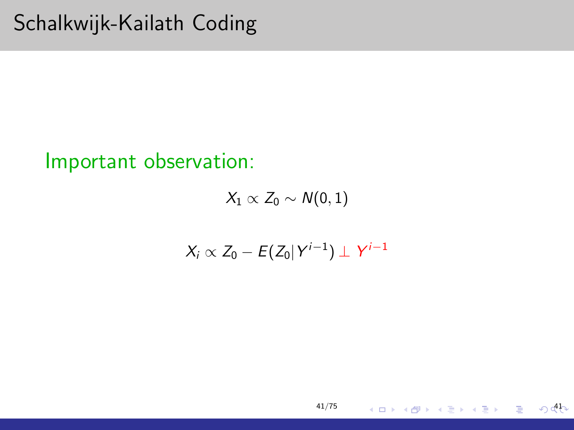## Schalkwijk-Kailath Coding

#### Important observation:

 $X_1 \propto Z_0 \sim N(0, 1)$ 

$$
X_i \propto Z_0 - E(Z_0|Y^{i-1}) \perp Y^{i-1}
$$

 $O$  dh

活

メロメ メタメ メミメ メミメー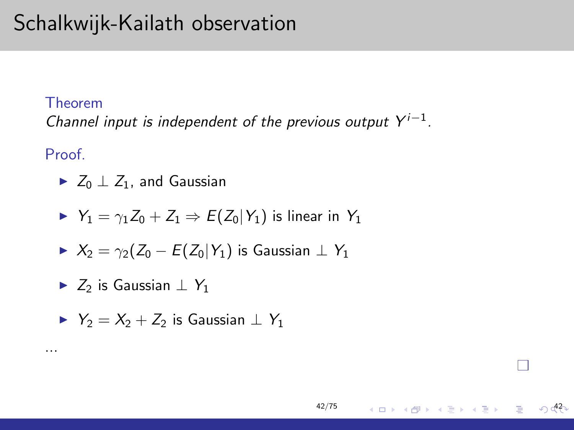# Schalkwijk-Kailath observation

#### Theorem

Channel input is independent of the previous output  $Y^{i-1}$ .

Proof.

...

 $\triangleright$   $Z_0 \perp Z_1$ , and Gaussian

$$
\blacktriangleright Y_1 = \gamma_1 Z_0 + Z_1 \Rightarrow E(Z_0|Y_1) \text{ is linear in } Y_1
$$

$$
\blacktriangleright \ X_2 = \gamma_2(Z_0 - E(Z_0|Y_1) \text{ is Gaussian } \perp Y_1
$$

►  $Z_2$  is Gaussian  $\perp Y_1$ 

$$
\blacktriangleright \ \ Y_2 = X_2 + Z_2 \text{ is Gaussian } \perp \ Y_1
$$

42

П

E

メロメ メ御 メメ きょく きょう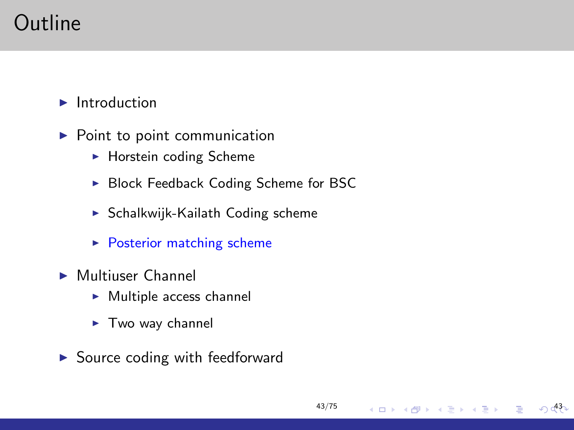# Outline

 $\blacktriangleright$  Introduction

- $\blacktriangleright$  Point to point communication
	- $\blacktriangleright$  Horstein coding Scheme
	- ▶ Block Feedback Coding Scheme for BSC

[43/75](#page-0-0)

メロメ メ御き メミメメミド

 $\sqrt{43}$ 

- $\triangleright$  Schalkwijk-Kailath Coding scheme
- $\blacktriangleright$  Posterior matching scheme
- $\blacktriangleright$  Multiuser Channel
	- $\blacktriangleright$  Multiple access channel
	- $\blacktriangleright$  Two way channel
- $\triangleright$  Source coding with feedforward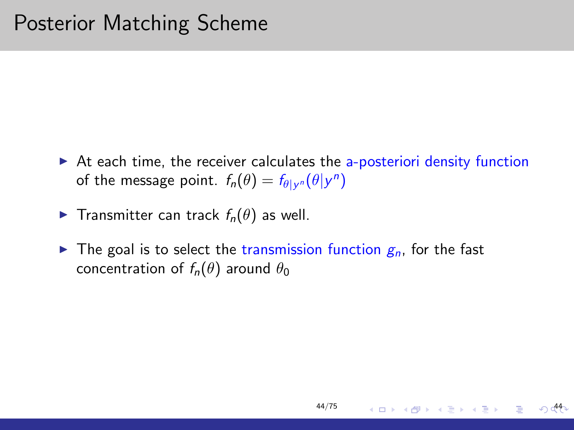$\triangleright$  At each time, the receiver calculates the a-posteriori density function of the message point.  $f_n(\theta) = f_{\theta|y^n}(\theta|y^n)$ 

[44/75](#page-0-0)

44

K ロン K 御 X K 활 X K 활 X 시 활

- **Figure Transmitter can track**  $f_n(\theta)$  **as well.**
- $\triangleright$  The goal is to select the transmission function  $g_n$ , for the fast concentration of  $f_n(\theta)$  around  $\theta_0$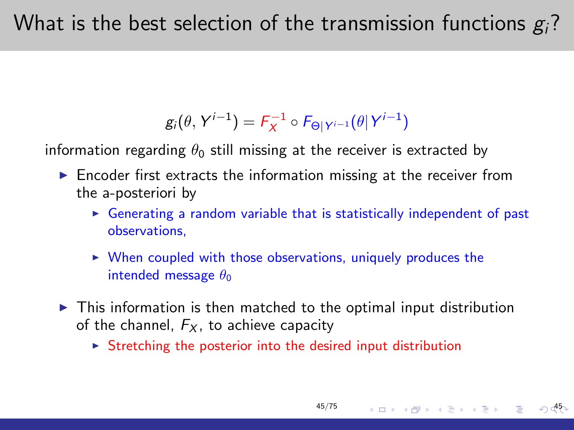## What is the best selection of the transmission functions  $g_i$ ?

$$
g_i(\theta, Y^{i-1}) = F_X^{-1} \circ F_{\Theta|Y^{i-1}}(\theta|Y^{i-1})
$$

information regarding  $\theta_0$  still missing at the receiver is extracted by

- $\blacktriangleright$  Encoder first extracts the information missing at the receiver from the a-posteriori by
	- $\triangleright$  Generating a random variable that is statistically independent of past observations,

[45/75](#page-0-0)

45

イロト イ部 トメ きょ メ きょう き

- $\triangleright$  When coupled with those observations, uniquely produces the intended message  $\theta_0$
- $\triangleright$  This information is then matched to the optimal input distribution of the channel,  $F<sub>x</sub>$ , to achieve capacity
	- $\triangleright$  Stretching the posterior into the desired input distribution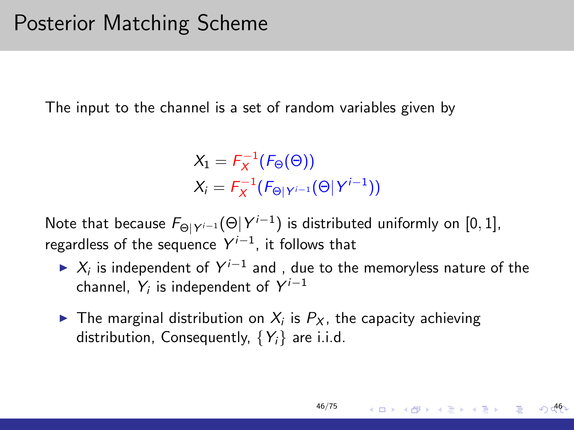The input to the channel is a set of random variables given by

 $X_1 = F_X^{-1}(F_{\Theta}(\Theta))$  $X_i = F_X^{-1}(F_{\Theta|Y^{i-1}}(\Theta|Y^{i-1}))$ 

Note that because  $F_{\Theta|Y^{i-1}}(\Theta|Y^{i-1})$  is distributed uniformly on [0, 1], regardless of the sequence  $Y^{i-1}$ , it follows that

►  $X_i$  is independent of  $Y^{i-1}$  and , due to the memoryless nature of the channel,  $Y_i$  is independent of  $Y^{i-1}$ 

[46/75](#page-0-0)

46

K ロン K 御 X K 활 X K 활 X 시 활

 $\blacktriangleright$  The marginal distribution on  $X_i$  is  $P_X$ , the capacity achieving distribution, Consequently,  $\{Y_i\}$  are i.i.d.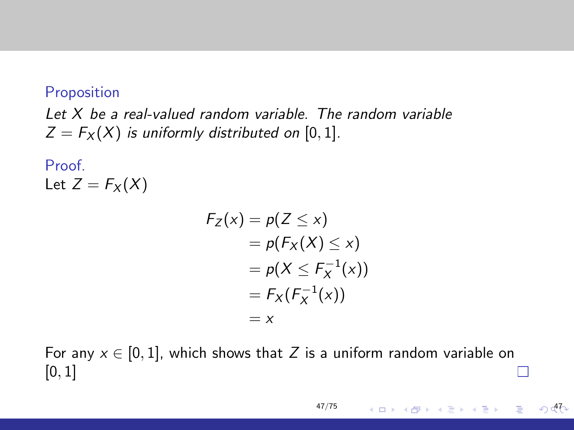#### Proposition

Let X be a real-valued random variable. The random variable  $Z = F_X(X)$  is uniformly distributed on [0, 1].

Proof. Let  $Z = F_X(X)$ 

$$
F_Z(x) = p(Z \le x)
$$
  
=  $p(F_X(X) \le x)$   
=  $p(X \le F_X^{-1}(x))$   
=  $F_X(F_X^{-1}(x))$   
= x

For any  $x \in [0, 1]$ , which shows that Z is a uniform random variable on  $[0, 1]$ 

メロメ メタメ メミメ メミメー

47

E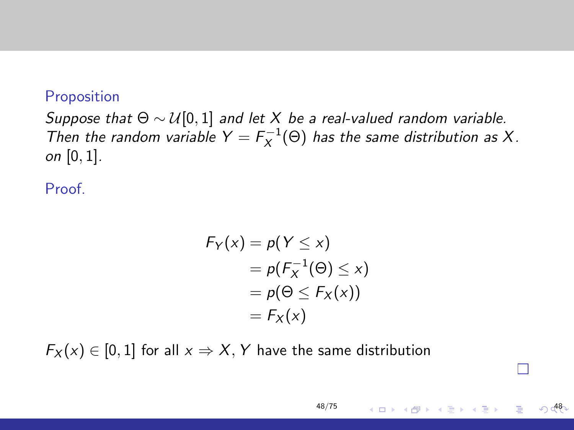#### Proposition

Suppose that  $\Theta \sim \mathcal{U}[0,1]$  and let X be a real-valued random variable. Then the random variable  $Y = F_X^{-1}(\Theta)$  has the same distribution as X. on  $[0, 1]$ .

Proof.

$$
F_Y(x) = p(Y \le x)
$$
  
=  $p(F_X^{-1}(\Theta) \le x)$   
=  $p(\Theta \le F_X(x))$   
=  $F_X(x)$ 

[48/75](#page-0-0)

48

П

メロメ メタメ メミメ メミメ

 $F_X(x) \in [0,1]$  for all  $x \Rightarrow X, Y$  have the same distribution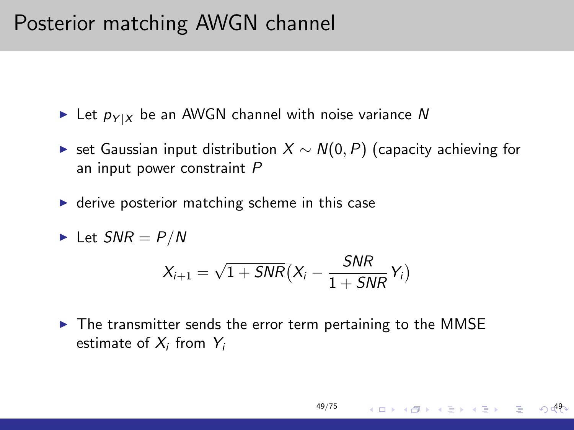## Posterior matching AWGN channel

Exect  $p_{Y|X}$  be an AWGN channel with noise variance N

- ► set Gaussian input distribution  $X \sim N(0, P)$  (capacity achieving for an input power constraint P
- $\triangleright$  derive posterior matching scheme in this case

$$
\blacktriangleright \text{ Let } SNR = P/N
$$
\n
$$
X_{i+1} = \sqrt{1 + SNR} \big(X_i - \frac{SNR}{1 + SNR} Y_i\big)
$$

 $\triangleright$  The transmitter sends the error term pertaining to the MMSE estimate of  $X_i$  from  $Y_i$ 

[49/75](#page-0-0)

イロメ イ団メ イモメ イモメー

49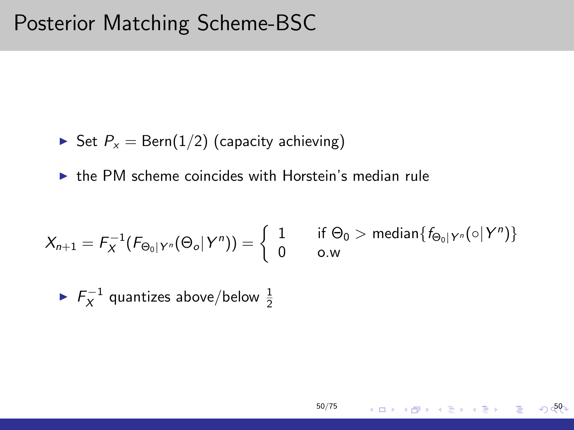#### Posterior Matching Scheme-BSC

 $\triangleright$  Set  $P_x = \text{Bern}(1/2)$  (capacity achieving)

 $\triangleright$  the PM scheme coincides with Horstein's median rule

$$
X_{n+1} = F_X^{-1}(F_{\Theta_0|Y^n}(\Theta_o|Y^n)) = \left\{ \begin{array}{ll} 1 & \text{ if } \Theta_0 > \text{ median}\{f_{\Theta_0|Y^n}(\circ|Y^n)\} \\ 0 & \text{o.w} \end{array} \right.
$$

[50/75](#page-0-0)

 $\sqrt{50}$ 

メロメ メタメ メミメ メミメン 毛

 $\blacktriangleright$   $F_X^{-1}$  quantizes above/below  $\frac{1}{2}$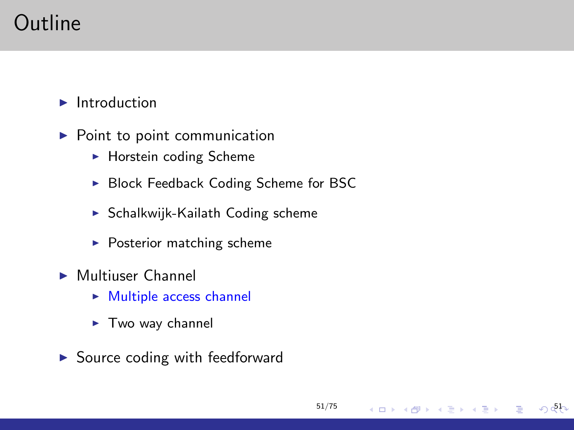# Outline

 $\blacktriangleright$  Introduction

- $\blacktriangleright$  Point to point communication
	- $\blacktriangleright$  Horstein coding Scheme
	- ▶ Block Feedback Coding Scheme for BSC

[51/75](#page-0-0)

メロメ メ御 メメ きょくきょ

 $\Omega$   $\Phi$ 

э

- $\triangleright$  Schalkwijk-Kailath Coding scheme
- $\blacktriangleright$  Posterior matching scheme
- $\blacktriangleright$  Multiuser Channel
	- $\triangleright$  Multiple access channel
	- $\blacktriangleright$  Two way channel
- $\triangleright$  Source coding with feedforward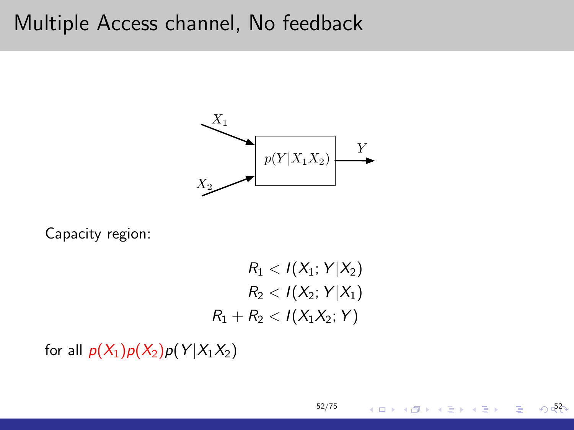#### Multiple Access channel, No feedback



Capacity region:

 $R_1 < I(X_1; Y|X_2)$  $R_2 < I(X_2; Y|X_1)$  $R_1 + R_2 < I(X_1X_2; Y)$ 

[52/75](#page-0-0)

 $0.52$ 

E

メロメ メ御 メメ きょくきょう

for all  $p(X_1)p(X_2)p(Y|X_1X_2)$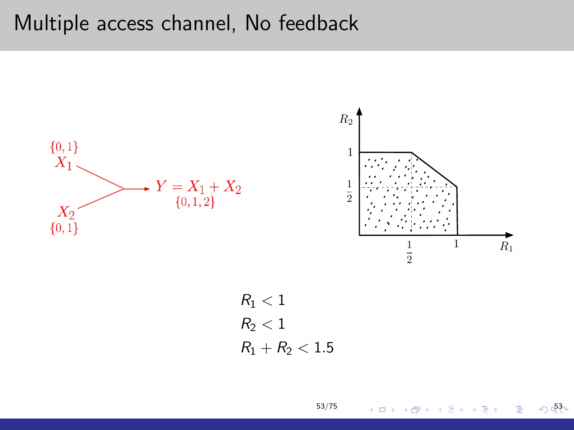#### Multiple access channel, No feedback



[53/75](#page-0-0)

**K ロ ▶ K 伊 ▶ K** 

Ε 一 4 店 ト  $0.53$ 

È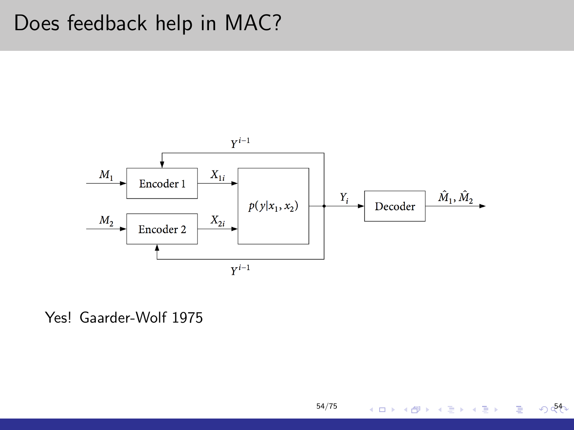## Does feedback help in MAC?



[54/75](#page-0-0)

イロメ イ部メ イ毛メ イモメ

 $045$ 

È

Yes! Gaarder-Wolf 1975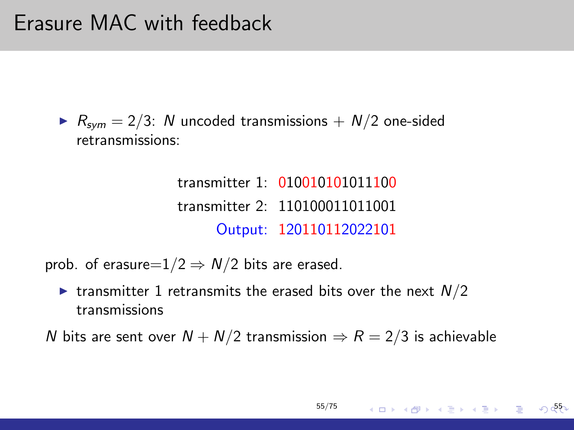$R_{sym} = 2/3$ : N uncoded transmissions  $+ N/2$  one-sided retransmissions:

> transmitter 1: 010010101011100 transmitter 2: 110100011011001 Output: 120110112022101

prob. of erasure= $1/2 \Rightarrow N/2$  bits are erased.

In transmitter 1 retransmits the erased bits over the next  $N/2$ transmissions

N bits are sent over  $N + N/2$  transmission  $\Rightarrow R = 2/3$  is achievable

$$
55/75 \qquad \qquad 4 \quad \square \rightarrow \qquad 4 \quad \square \rightarrow \qquad 4 \quad \square \rightarrow \qquad 4 \quad \square \rightarrow \qquad 4 \quad \square \rightarrow \qquad 4 \quad \square \rightarrow \qquad 4 \quad \square \rightarrow \qquad 4 \quad \square \rightarrow \qquad 4 \quad \square \rightarrow \qquad 4 \quad \square \rightarrow \qquad 4 \quad \square \rightarrow \qquad 4 \quad \square \rightarrow \qquad 4 \quad \square \rightarrow \qquad 4 \quad \square \rightarrow \qquad 4 \quad \square \rightarrow \qquad 4 \quad \square \rightarrow \qquad 4 \quad \square \rightarrow \qquad 4 \quad \square \rightarrow \qquad 4 \quad \square \rightarrow \qquad 4 \quad \square \rightarrow \qquad 4 \quad \square \rightarrow \qquad 4 \quad \square \rightarrow \qquad 4 \quad \square \rightarrow \qquad 4 \quad \square \rightarrow \qquad 4 \quad \square \rightarrow \qquad 4 \quad \square \rightarrow \qquad 4 \quad \square \rightarrow \qquad 4 \quad \square \rightarrow \qquad 4 \quad \square \rightarrow \qquad 4 \quad \square \rightarrow \qquad 4 \quad \square \rightarrow \qquad 4 \quad \square \rightarrow \qquad 4 \quad \square \rightarrow \qquad 4 \quad \square \rightarrow \qquad 4 \quad \square \rightarrow \qquad 4 \quad \square \rightarrow \qquad 4 \quad \square \rightarrow \qquad 4 \quad \square \rightarrow \qquad 4 \quad \square \rightarrow \qquad 4 \quad \square \rightarrow \qquad 4 \quad \square \rightarrow \qquad 4 \quad \square \rightarrow \qquad 4 \quad \square \rightarrow \qquad 4 \quad \square \rightarrow \qquad 4 \quad \square \rightarrow \qquad 4 \quad \square \rightarrow \qquad 4 \quad \square \rightarrow \qquad 4 \quad \square \rightarrow \qquad 4 \quad \square \rightarrow \qquad 4 \quad \square \rightarrow \qquad 4 \quad \square \rightarrow \qquad 4 \quad \square \rightarrow \qquad 4 \quad \square \rightarrow \qquad 4 \quad \square \rightarrow \qquad 4 \quad \square \rightarrow \qquad 4 \quad \square \rightarrow \qquad 4 \quad \square \rightarrow \qquad 4 \quad \square \rightarrow \qquad 4 \quad \square \rightarrow \qquad 4 \quad \square \rightarrow \qquad 4 \quad \square \rightarrow \qquad 4 \quad \square \rightarrow \qquad 4 \quad \square \rightarrow \qquad 4 \quad \square \rightarrow \qquad 4 \quad \square \rightarrow \qquad 4 \quad \square \rightarrow \qquad 4 \quad \square \rightarrow \qquad 4 \quad \square \rightarrow \qquad
$$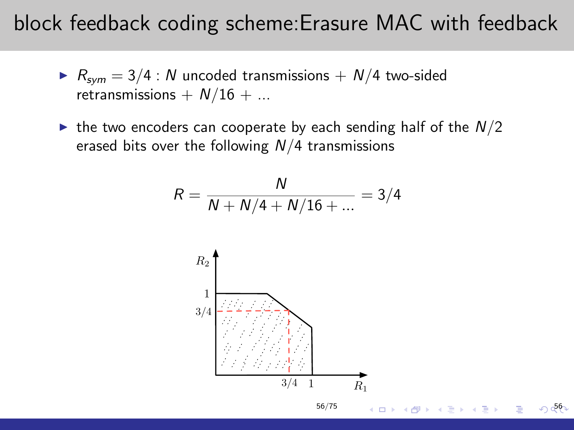#### block feedback coding scheme:Erasure MAC with feedback

- $R_{sym} = 3/4$  : N uncoded transmissions  $+ N/4$  two-sided retransmissions  $+ N/16 + ...$
- In the two encoders can cooperate by each sending half of the  $N/2$ erased bits over the following  $N/4$  transmissions

$$
R = \frac{N}{N + N/4 + N/16 + \dots} = 3/4
$$

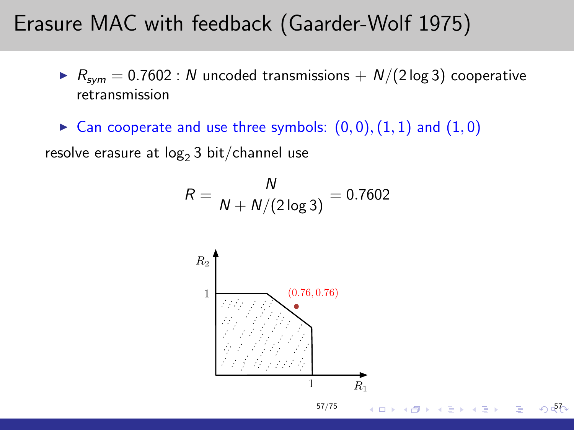### Erasure MAC with feedback (Gaarder-Wolf 1975)

 $R_{sym} = 0.7602$ : N uncoded transmissions  $+ N/(2 \log 3)$  cooperative retransmission

 $\blacktriangleright$  Can cooperate and use three symbols:  $(0,0), (1,1)$  and  $(1,0)$ 

resolve erasure at  $log<sub>2</sub>$  3 bit/channel use

$$
R = \frac{N}{N + N/(2 \log 3)} = 0.7602
$$

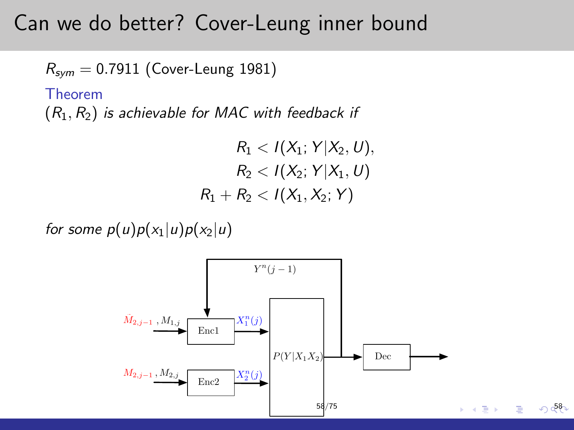#### Can we do better? Cover-Leung inner bound

 $R_{sym} = 0.7911$  (Cover-Leung 1981)

Theorem

 $(R_1, R_2)$  is achievable for MAC with feedback if

$$
R_1 < I(X_1; Y | X_2, U),
$$
  

$$
R_2 < I(X_2; Y | X_1, U)
$$
  

$$
R_1 + R_2 < I(X_1, X_2; Y)
$$

for some  $p(u)p(x_1|u)p(x_2|u)$ 

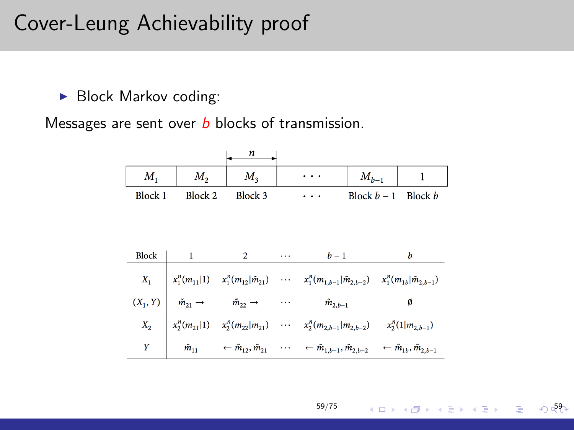## Cover-Leung Achievability proof

 $\blacktriangleright$  Block Markov coding:

Messages are sent over  $b$  blocks of transmission.

|                |              | n                                                                                                                                                                                          |         |       |                       |   |
|----------------|--------------|--------------------------------------------------------------------------------------------------------------------------------------------------------------------------------------------|---------|-------|-----------------------|---|
| $M_{1}$        | $M_{2}$      | $M_3$                                                                                                                                                                                      |         |       | $M_{h-1}$             |   |
| <b>Block 1</b> | Block 2      | Block 3                                                                                                                                                                                    |         | .     | Block $b-1$ Block $b$ |   |
|                |              |                                                                                                                                                                                            |         |       |                       |   |
|                |              |                                                                                                                                                                                            |         |       |                       |   |
| Block          | $\mathbf{1}$ | $2 \left( \frac{1}{2} \right)$                                                                                                                                                             | aaan in | $b-1$ |                       | b |
|                |              | $X_1 \quad \  \  \, \mid x_1^n(m_{11} 1) \quad \  x_1^n(m_{12} \tilde{m}_{21}) \quad \  \  \cdots \quad \  \  x_1^n(m_{1,b-1} \tilde{m}_{2,b-2}) \quad \  x_1^n(m_{1b} \tilde{m}_{2,b-1})$ |         |       |                       |   |
|                |              | $(X_1, Y)$ $\hat{m}_{21} \rightarrow \hat{m}_{22} \rightarrow \cdots \hat{m}_{2,b-1}$                                                                                                      |         |       |                       | Ø |
|                |              | $X_2$ $x_2^n(m_{21} 1)$ $x_2^n(m_{22} m_{21})$ $\cdots$ $x_2^n(m_{2,b-1} m_{2,b-2})$ $x_2^n(1 m_{2,b-1})$                                                                                  |         |       |                       |   |
| Y              |              | $\hat{m}_{11} \quad \leftarrow \hat{m}_{12}, \hat{m}_{21} \quad \cdots \quad \leftarrow \hat{m}_{1,b-1}, \hat{m}_{2,b-2} \quad \leftarrow \hat{m}_{1b}, \hat{m}_{2,b-1}$                   |         |       |                       |   |

[59/75](#page-0-0)

 $\sqrt{59}$ 

E

メロメ メ御 メメ きょくきょう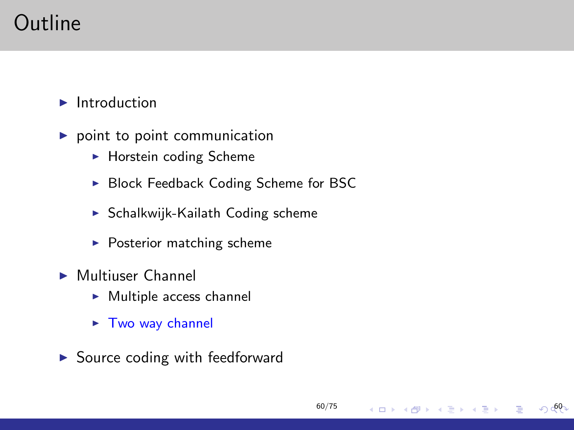# Outline

 $\blacktriangleright$  Introduction

- $\blacktriangleright$  point to point communication
	- $\blacktriangleright$  Horstein coding Scheme
	- ▶ Block Feedback Coding Scheme for BSC

[60/75](#page-0-0)

イロン イ部ン イ君ン イ君ン

 $\odot$  60-

- $\triangleright$  Schalkwijk-Kailath Coding scheme
- $\blacktriangleright$  Posterior matching scheme
- $\blacktriangleright$  Multiuser Channel
	- $\blacktriangleright$  Multiple access channel
	- $\blacktriangleright$  Two way channel
- $\triangleright$  Source coding with feedforward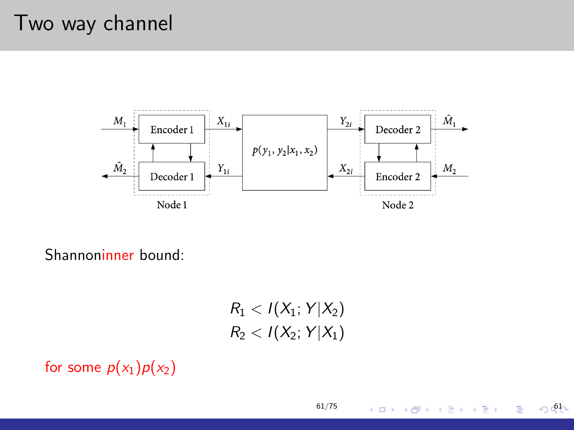## Two way channel



Shannoninner bound:

 $R_1 < I(X_1; Y|X_2)$  $R_2 < I(X_2; Y|X_1)$ 

[61/75](#page-0-0)

(ロ) ( d )

경기 지경기

 $00 - 61$ 

Þ

for some  $p(x_1)p(x_2)$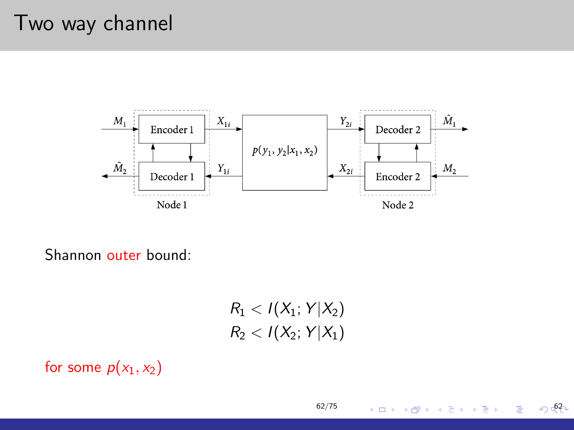## Two way channel



Shannon outer bound:

 $R_1 < I(X_1; Y|X_2)$  $R_2 < I(X_2; Y|X_1)$ 

[62/75](#page-0-0)

(ロ) ( d )

경기 지경기

 $\bigcirc$  62

Þ

for some  $p(x_1, x_2)$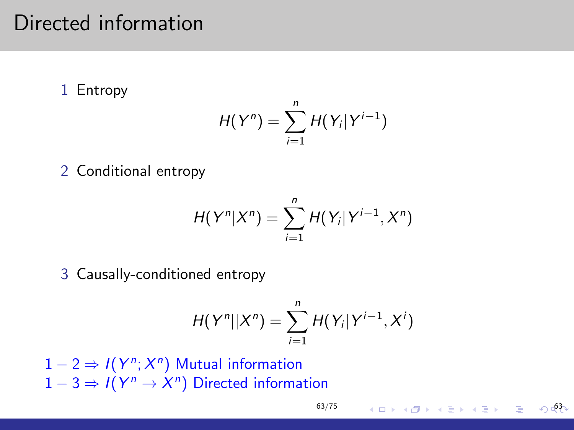## Directed information

1 Entropy

$$
H(Y^n)=\sum_{i=1}^n H(Y_i|Y^{i-1})
$$

2 Conditional entropy

$$
H(Y^n|X^n) = \sum_{i=1}^n H(Y_i|Y^{i-1},X^n)
$$

3 Causally-conditioned entropy

$$
H(Y^n||X^n)=\sum_{i=1}^n H(Y_i|Y^{i-1},X^i)
$$

 $1-2 \Rightarrow I(Y^n; X^n)$  Mutual information  $1-3 \Rightarrow I(Y^n \rightarrow X^n)$  Directed information

 $\bigcirc$  63

イロメ イ団 メイモメ イモメー 毛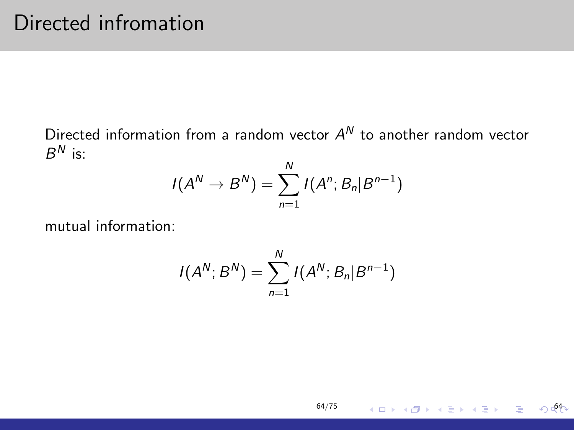Directed information from a random vector  $A^N$  to another random vector  $B^N$  is:

$$
I(A^{N} \to B^{N}) = \sum_{n=1}^{N} I(A^{n}; B_{n} | B^{n-1})
$$

mutual information:

$$
I(A^{N};B^{N})=\sum_{n=1}^{N}I(A^{N};B_{n}|B^{n-1})
$$

[64/75](#page-0-0)

**Kロトメ団トメミトメミト ミニの明**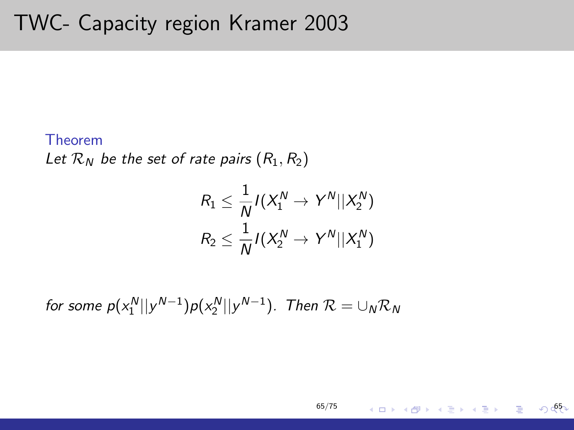## TWC- Capacity region Kramer 2003

#### Theorem

Let  $\mathcal{R}_N$  be the set of rate pairs  $(R_1, R_2)$ 

$$
\begin{aligned} R_1 &\leq \frac{1}{N} I(X_1^N \rightarrow Y^N || X_2^N) \\ R_2 &\leq \frac{1}{N} I(X_2^N \rightarrow Y^N || X_1^N) \end{aligned}
$$

for some  $p(x_1^N||y^{N-1})p(x_2^N||y^{N-1})$ . Then  $\mathcal{R} = \cup_N \mathcal{R}_N$ 

$$
65/75
$$

 $\circ$   $65$ 

メロメ メ御 メメ きょくきょうき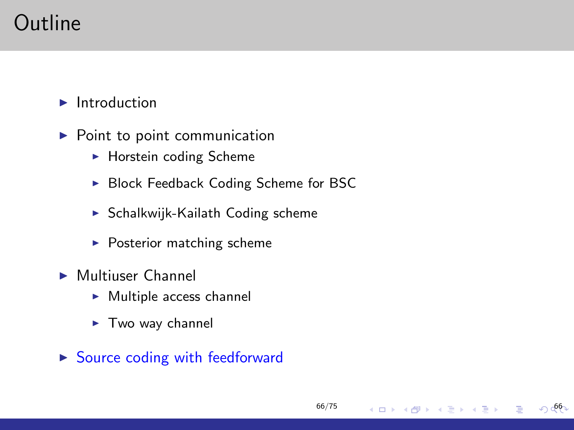# Outline

 $\blacktriangleright$  Introduction

- $\blacktriangleright$  Point to point communication
	- $\blacktriangleright$  Horstein coding Scheme
	- ▶ Block Feedback Coding Scheme for BSC

[66/75](#page-0-0)

イロン イ部ン イ君ン イ君ン

 $\bigcirc$  66

- $\triangleright$  Schalkwijk-Kailath Coding scheme
- $\blacktriangleright$  Posterior matching scheme
- $\blacktriangleright$  Multiuser Channel
	- $\blacktriangleright$  Multiple access channel
	- $\blacktriangleright$  Two way channel
- $\triangleright$  Source coding with feedforward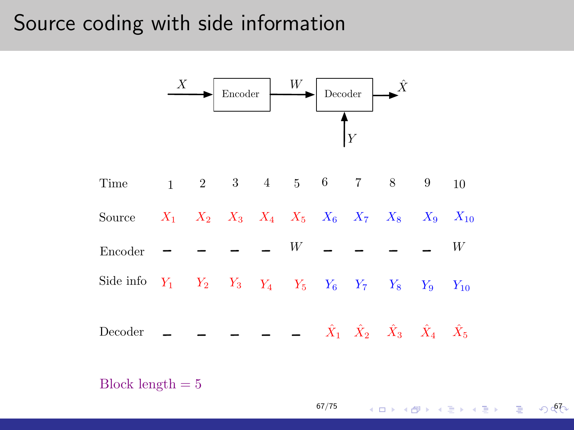#### Source coding with side information



[67/75](#page-0-0)

4 ロ ▶ ( @ ) ( { } ) ( } ) ( } ) ⊙ ⊙ ⊙ ⊙ ⊙

Block length  $= 5$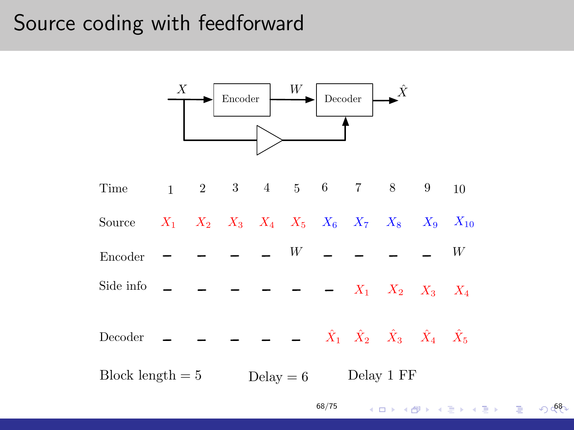### Source coding with feedforward



[68/75](#page-0-0)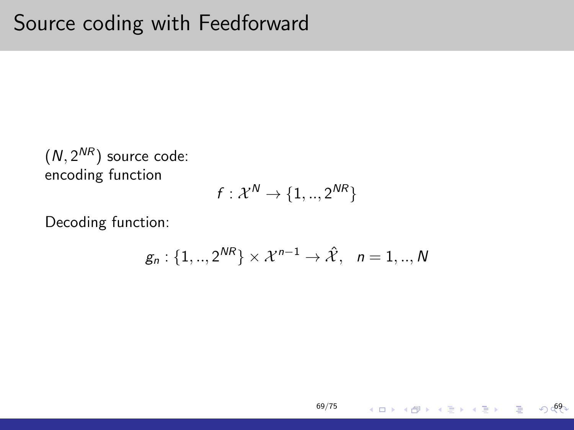$(N, 2^{NR})$  source code: encoding function

$$
f: \mathcal{X}^N \rightarrow \{1,..,2^{NR}\}
$$

Decoding function:

$$
g_n: \{1,..,2^{NR}\}\times \mathcal{X}^{n-1}\to \hat{\mathcal{X}}, \quad n=1,..,N
$$

[69/75](#page-0-0)

 $\sqrt{69}$ 

 $\equiv$ 

イロメ イ団メ イモメ イモメー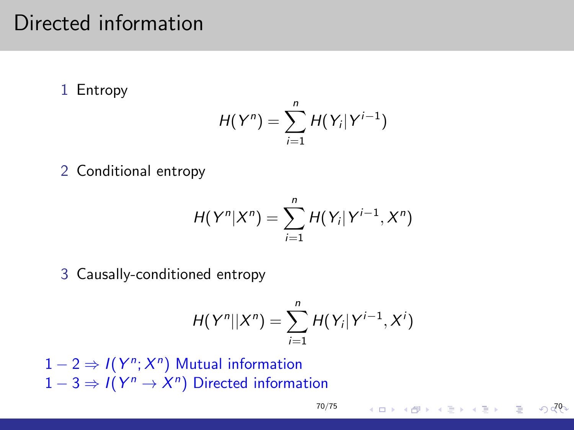## Directed information

1 Entropy

$$
H(Y^n)=\sum_{i=1}^n H(Y_i|Y^{i-1})
$$

2 Conditional entropy

$$
H(Y^n|X^n) = \sum_{i=1}^n H(Y_i|Y^{i-1},X^n)
$$

3 Causally-conditioned entropy

$$
H(Y^n||X^n)=\sum_{i=1}^n H(Y_i|Y^{i-1},X^i)
$$

 $1-2 \Rightarrow I(Y^n; X^n)$  Mutual information  $1-3 \Rightarrow I(Y^n \rightarrow X^n)$  Directed information

 $\sqrt{a}$ 

イロメ イ団 メイモメ イモメー 毛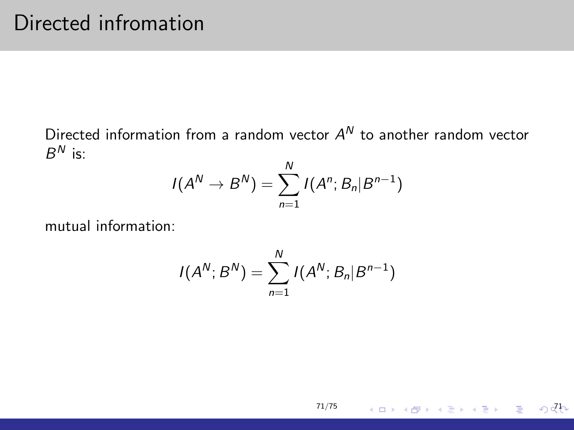Directed information from a random vector  $A^N$  to another random vector  $B^N$  is:

$$
I(A^{N} \to B^{N}) = \sum_{n=1}^{N} I(A^{n}; B_{n} | B^{n-1})
$$

mutual information:

$$
I(A^{N};B^{N})=\sum_{n=1}^{N}I(A^{N};B_{n}|B^{n-1})
$$

[71/75](#page-0-0)

제다 제1300 제1200 제1200 제1200 제1200 제1200 제1200 제1200 제1200 제1200 제1200 제1200 제1200 제1200 제1200 제1200 제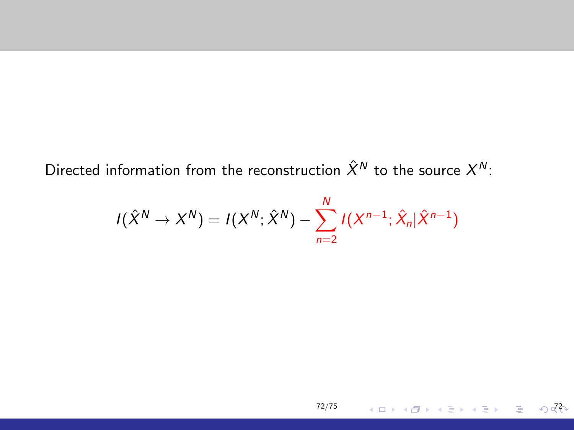Directed information from the reconstruction  $\hat X^N$  to the source  $X^N$ :

$$
I(\hat{X}^{N} \to X^{N}) = I(X^{N}; \hat{X}^{N}) - \sum_{n=2}^{N} I(X^{n-1}; \hat{X}_{n} | \hat{X}^{n-1})
$$

[72/75](#page-0-0)

72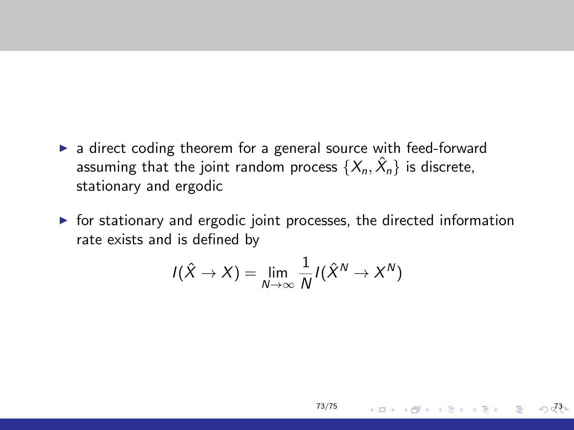- a direct coding theorem for a general source with feed-forward assuming that the joint random process  $\{X_n, \hat{X}_n\}$  is discrete, stationary and ergodic
- $\triangleright$  for stationary and ergodic joint processes, the directed information rate exists and is defined by

$$
I(\hat{X} \to X) = \lim_{N \to \infty} \frac{1}{N} I(\hat{X}^N \to X^N)
$$

73/75

メロメ メ都 メメ きょく ミメー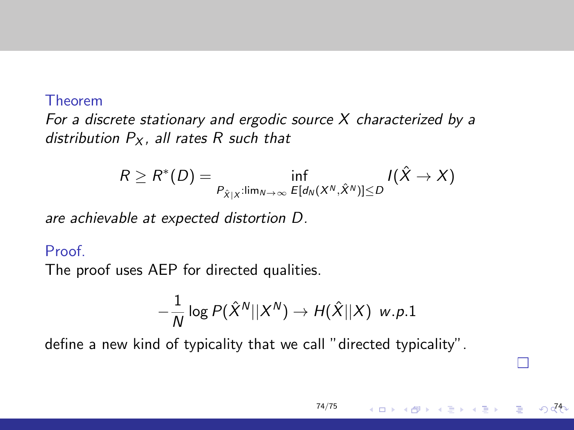## Theorem

For a discrete stationary and ergodic source  $X$  characterized by a distribution  $P_X$ , all rates R such that

$$
R \geq R^*(D) = \inf_{P_{\hat{X}|X}: \lim_{N \to \infty} E[d_N(X^N, \hat{X}^N)] \leq D} I(\hat{X} \to X)
$$

are achievable at expected distortion D.

## Proof

The proof uses AEP for directed qualities.

$$
-\frac{1}{N}\log P(\hat{X}^N||X^N)\to H(\hat{X}||X) \ \ w.p.1
$$

[74/75](#page-0-0)

イロメ イ母メ イヨメ イヨメ

74

define a new kind of typicality that we call "directed typicality".